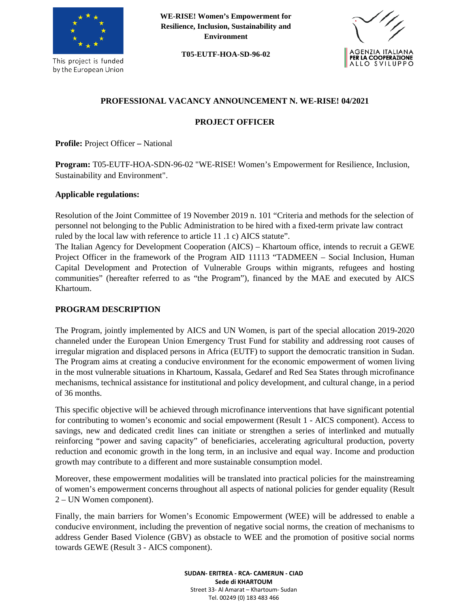

This project is funded by the European Union **WE-RISE! Women's Empowerment for Resilience, Inclusion, Sustainability and Environment**

**T05-EUTF-HOA-SD-96-02**



# **PROFESSIONAL VACANCY ANNOUNCEMENT N. WE-RISE! 04/2021**

#### **PROJECT OFFICER**

**Profile:** Project Officer **–** National

**Program:** T05-EUTF-HOA-SDN-96-02 "WE-RISE! Women's Empowerment for Resilience, Inclusion, Sustainability and Environment".

#### **Applicable regulations:**

Resolution of the Joint Committee of 19 November 2019 n. 101 "Criteria and methods for the selection of personnel not belonging to the Public Administration to be hired with a fixed-term private law contract ruled by the local law with reference to article 11 .1 c) AICS statute".

The Italian Agency for Development Cooperation (AICS) – Khartoum office, intends to recruit a GEWE Project Officer in the framework of the Program AID 11113 "TADMEEN – Social Inclusion, Human Capital Development and Protection of Vulnerable Groups within migrants, refugees and hosting communities" (hereafter referred to as "the Program"), financed by the MAE and executed by AICS Khartoum.

#### **PROGRAM DESCRIPTION**

The Program, jointly implemented by AICS and UN Women, is part of the special allocation 2019-2020 channeled under the European Union Emergency Trust Fund for stability and addressing root causes of irregular migration and displaced persons in Africa (EUTF) to support the democratic transition in Sudan. The Program aims at creating a conducive environment for the economic empowerment of women living in the most vulnerable situations in Khartoum, Kassala, Gedaref and Red Sea States through microfinance mechanisms, technical assistance for institutional and policy development, and cultural change, in a period of 36 months.

This specific objective will be achieved through microfinance interventions that have significant potential for contributing to women's economic and social empowerment (Result 1 - AICS component). Access to savings, new and dedicated credit lines can initiate or strengthen a series of interlinked and mutually reinforcing "power and saving capacity" of beneficiaries, accelerating agricultural production, poverty reduction and economic growth in the long term, in an inclusive and equal way. Income and production growth may contribute to a different and more sustainable consumption model.

Moreover, these empowerment modalities will be translated into practical policies for the mainstreaming of women's empowerment concerns throughout all aspects of national policies for gender equality (Result 2 – UN Women component).

Finally, the main barriers for Women's Economic Empowerment (WEE) will be addressed to enable a conducive environment, including the prevention of negative social norms, the creation of mechanisms to address Gender Based Violence (GBV) as obstacle to WEE and the promotion of positive social norms towards GEWE (Result 3 - AICS component).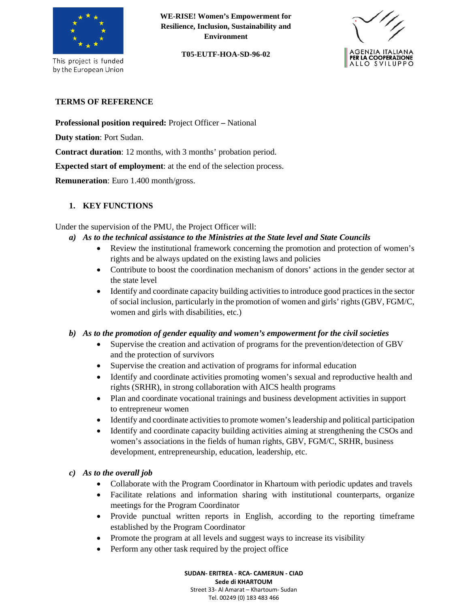

This project is funded by the European Union

**WE-RISE! Women's Empowerment for Resilience, Inclusion, Sustainability and Environment**

**T05-EUTF-HOA-SD-96-02**



### **TERMS OF REFERENCE**

**Professional position required:** Project Officer **–** National

**Duty station**: Port Sudan.

**Contract duration**: 12 months, with 3 months' probation period.

**Expected start of employment**: at the end of the selection process.

**Remuneration**: Euro 1.400 month/gross.

## **1. KEY FUNCTIONS**

Under the supervision of the PMU, the Project Officer will:

- *a) As to the technical assistance to the Ministries at the State level and State Councils*
	- Review the institutional framework concerning the promotion and protection of women's rights and be always updated on the existing laws and policies
	- Contribute to boost the coordination mechanism of donors' actions in the gender sector at the state level
	- Identify and coordinate capacity building activities to introduce good practices in the sector of social inclusion, particularly in the promotion of women and girls' rights (GBV, FGM/C, women and girls with disabilities, etc.)

### *b) As to the promotion of gender equality and women's empowerment for the civil societies*

- Supervise the creation and activation of programs for the prevention/detection of GBV and the protection of survivors
- Supervise the creation and activation of programs for informal education
- Identify and coordinate activities promoting women's sexual and reproductive health and rights (SRHR), in strong collaboration with AICS health programs
- Plan and coordinate vocational trainings and business development activities in support to entrepreneur women
- Identify and coordinate activities to promote women's leadership and political participation
- Identify and coordinate capacity building activities aiming at strengthening the CSOs and women's associations in the fields of human rights, GBV, FGM/C, SRHR, business development, entrepreneurship, education, leadership, etc.

### *c) As to the overall job*

- Collaborate with the Program Coordinator in Khartoum with periodic updates and travels
- Facilitate relations and information sharing with institutional counterparts, organize meetings for the Program Coordinator
- Provide punctual written reports in English, according to the reporting timeframe established by the Program Coordinator
- Promote the program at all levels and suggest ways to increase its visibility
- Perform any other task required by the project office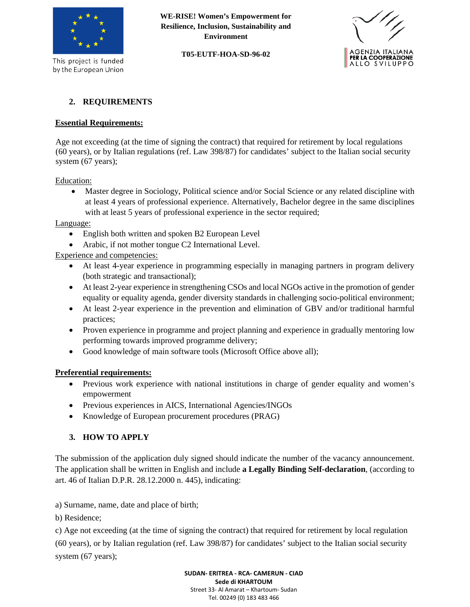

This project is funded by the European Union **WE-RISE! Women's Empowerment for Resilience, Inclusion, Sustainability and Environment**

#### **T05-EUTF-HOA-SD-96-02**



## **2. REQUIREMENTS**

#### **Essential Requirements:**

Age not exceeding (at the time of signing the contract) that required for retirement by local regulations (60 years), or by Italian regulations (ref. Law 398/87) for candidates' subject to the Italian social security system (67 years);

Education:

• Master degree in Sociology, Political science and/or Social Science or any related discipline with at least 4 years of professional experience. Alternatively, Bachelor degree in the same disciplines with at least 5 years of professional experience in the sector required;

Language:

- English both written and spoken B2 European Level
- Arabic, if not mother tongue C2 International Level.

Experience and competencies:

- At least 4-year experience in programming especially in managing partners in program delivery (both strategic and transactional);
- At least 2-year experience in strengthening CSOs and local NGOs active in the promotion of gender equality or equality agenda, gender diversity standards in challenging socio-political environment;
- At least 2-year experience in the prevention and elimination of GBV and/or traditional harmful practices;
- Proven experience in programme and project planning and experience in gradually mentoring low performing towards improved programme delivery;
- Good knowledge of main software tools (Microsoft Office above all);

#### **Preferential requirements:**

- Previous work experience with national institutions in charge of gender equality and women's empowerment
- Previous experiences in AICS, International Agencies/INGOs
- Knowledge of European procurement procedures (PRAG)

### **3. HOW TO APPLY**

The submission of the application duly signed should indicate the number of the vacancy announcement. The application shall be written in English and include **a Legally Binding Self-declaration**, (according to art. 46 of Italian D.P.R. 28.12.2000 n. 445), indicating:

a) Surname, name, date and place of birth;

b) Residence;

c) Age not exceeding (at the time of signing the contract) that required for retirement by local regulation

(60 years), or by Italian regulation (ref. Law 398/87) for candidates' subject to the Italian social security system (67 years);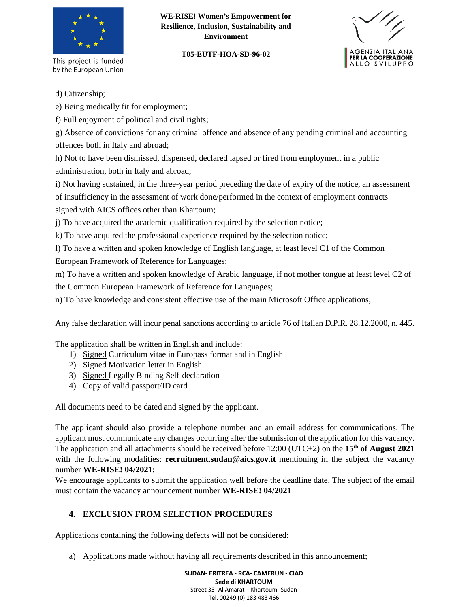

This project is funded by the European Union

### **WE-RISE! Women's Empowerment for Resilience, Inclusion, Sustainability and Environment**

#### **T05-EUTF-HOA-SD-96-02**



d) Citizenship;

e) Being medically fit for employment;

f) Full enjoyment of political and civil rights;

g) Absence of convictions for any criminal offence and absence of any pending criminal and accounting offences both in Italy and abroad;

h) Not to have been dismissed, dispensed, declared lapsed or fired from employment in a public administration, both in Italy and abroad;

i) Not having sustained, in the three-year period preceding the date of expiry of the notice, an assessment of insufficiency in the assessment of work done/performed in the context of employment contracts signed with AICS offices other than Khartoum;

j) To have acquired the academic qualification required by the selection notice;

k) To have acquired the professional experience required by the selection notice;

l) To have a written and spoken knowledge of English language, at least level C1 of the Common European Framework of Reference for Languages;

m) To have a written and spoken knowledge of Arabic language, if not mother tongue at least level C2 of the Common European Framework of Reference for Languages;

n) To have knowledge and consistent effective use of the main Microsoft Office applications;

Any false declaration will incur penal sanctions according to article 76 of Italian D.P.R. 28.12.2000, n. 445.

The application shall be written in English and include:

- 1) Signed Curriculum vitae in Europass format and in English
- 2) Signed Motivation letter in English
- 3) Signed Legally Binding Self-declaration
- 4) Copy of valid passport/ID card

All documents need to be dated and signed by the applicant.

The applicant should also provide a telephone number and an email address for communications. The applicant must communicate any changes occurring after the submission of the application for this vacancy. The application and all attachments should be received before 12:00 (UTC+2) on the **15th of August 2021** with the following modalities: **recruitment.sudan@aics.gov.it** mentioning in the subject the vacancy number **WE-RISE! 04/2021;**

We encourage applicants to submit the application well before the deadline date. The subject of the email must contain the vacancy announcement number **WE-RISE! 04/2021**

# **4. EXCLUSION FROM SELECTION PROCEDURES**

Applications containing the following defects will not be considered:

a) Applications made without having all requirements described in this announcement;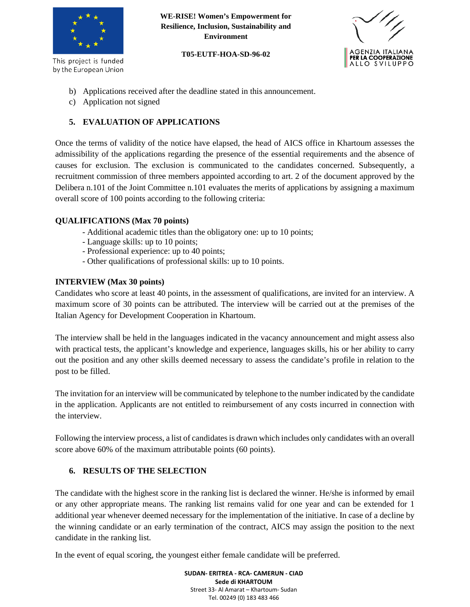

This project is funded by the European Union **WE-RISE! Women's Empowerment for Resilience, Inclusion, Sustainability and Environment**

**T05-EUTF-HOA-SD-96-02**



- b) Applications received after the deadline stated in this announcement.
- c) Application not signed

## **5. EVALUATION OF APPLICATIONS**

Once the terms of validity of the notice have elapsed, the head of AICS office in Khartoum assesses the admissibility of the applications regarding the presence of the essential requirements and the absence of causes for exclusion. The exclusion is communicated to the candidates concerned. Subsequently, a recruitment commission of three members appointed according to art. 2 of the document approved by the Delibera n.101 of the Joint Committee n.101 evaluates the merits of applications by assigning a maximum overall score of 100 points according to the following criteria:

### **QUALIFICATIONS (Max 70 points)**

- Additional academic titles than the obligatory one: up to 10 points;
- Language skills: up to 10 points;
- Professional experience: up to 40 points;
- Other qualifications of professional skills: up to 10 points.

### **INTERVIEW (Max 30 points)**

Candidates who score at least 40 points, in the assessment of qualifications, are invited for an interview. A maximum score of 30 points can be attributed. The interview will be carried out at the premises of the Italian Agency for Development Cooperation in Khartoum.

The interview shall be held in the languages indicated in the vacancy announcement and might assess also with practical tests, the applicant's knowledge and experience, languages skills, his or her ability to carry out the position and any other skills deemed necessary to assess the candidate's profile in relation to the post to be filled.

The invitation for an interview will be communicated by telephone to the number indicated by the candidate in the application. Applicants are not entitled to reimbursement of any costs incurred in connection with the interview.

Following the interview process, a list of candidates is drawn which includes only candidates with an overall score above 60% of the maximum attributable points (60 points).

### **6. RESULTS OF THE SELECTION**

The candidate with the highest score in the ranking list is declared the winner. He/she is informed by email or any other appropriate means. The ranking list remains valid for one year and can be extended for 1 additional year whenever deemed necessary for the implementation of the initiative. In case of a decline by the winning candidate or an early termination of the contract, AICS may assign the position to the next candidate in the ranking list.

In the event of equal scoring, the youngest either female candidate will be preferred.